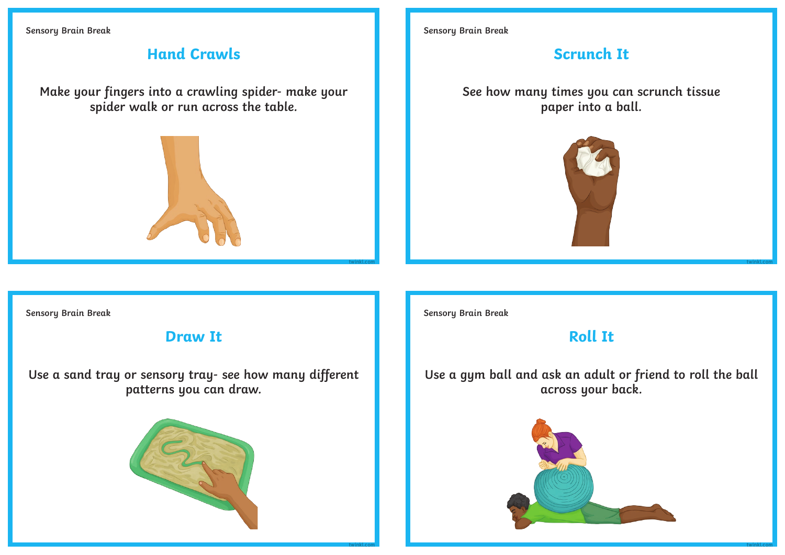**Sensory Brain Break**

# **Hand Crawls**

**Make your fingers into a crawling spider- make your spider walk or run across the table.**



**Sensory Brain Break**

# **Scrunch It**

**See how many times you can scrunch tissue paper into a ball.**



**Sensory Brain Break**

### **Draw It**

**Use a sand tray or sensory tray- see how many different patterns you can draw.**



**Sensory Brain Break**

**twinkl.com**

**twinkl.com**

# **Roll It**

**Use a gym ball and ask an adult or friend to roll the ball across your back.** 



**twinkl.com**

**twinkl.com**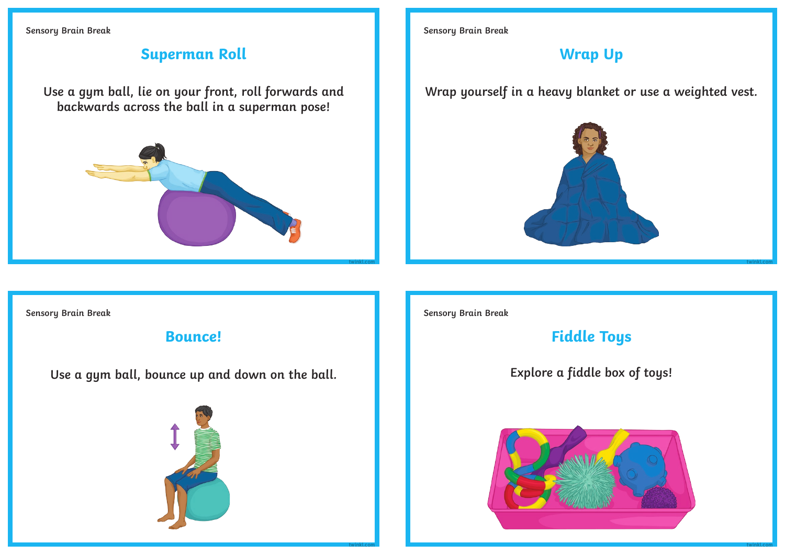**Sensory Brain Break**

## **Superman Roll**

**Use a gym ball, lie on your front, roll forwards and backwards across the ball in a superman pose!**



**Sensory Brain Break**

#### **Wrap Up**

**Wrap yourself in a heavy blanket or use a weighted vest.**



**Sensory Brain Break**

**Bounce!**

**Use a gym ball, bounce up and down on the ball.**



**Sensory Brain Break**

**twinkl.com**

**Fiddle Toys**

**Explore a fiddle box of toys!**



**twinkl.com**

**twinkl.com**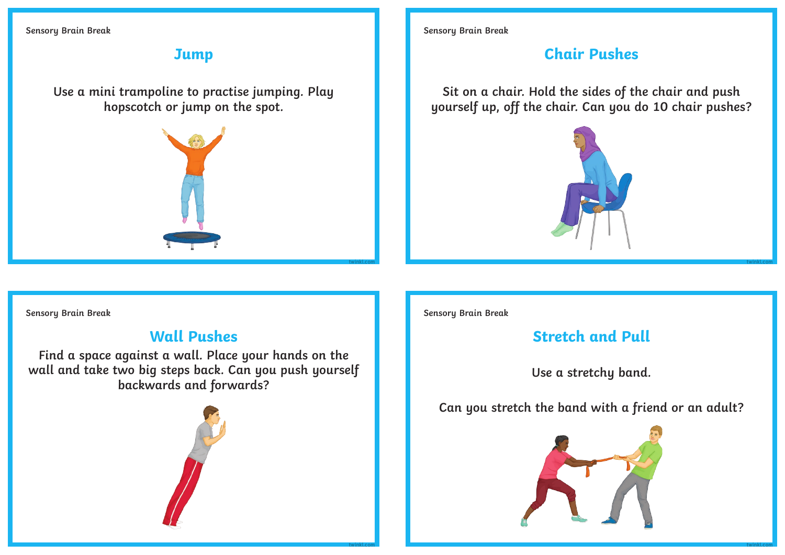**Sensory Brain Break**

### **Jump**

**Use a mini trampoline to practise jumping. Play hopscotch or jump on the spot.**



**Sensory Brain Break**

# **Chair Pushes**

**Sit on a chair. Hold the sides of the chair and push yourself up, off the chair. Can you do 10 chair pushes?**



**Sensory Brain Break**

### **Wall Pushes**

**Find a space against a wall. Place your hands on the wall and take two big steps back. Can you push yourself backwards and forwards?**



**Sensory Brain Break**

**twinkl.com**

**twinkl.com**

# **Stretch and Pull**

**Use a stretchy band.** 

**Can you stretch the band with a friend or an adult?** 



**twinkl.com**

**twinkl.com**